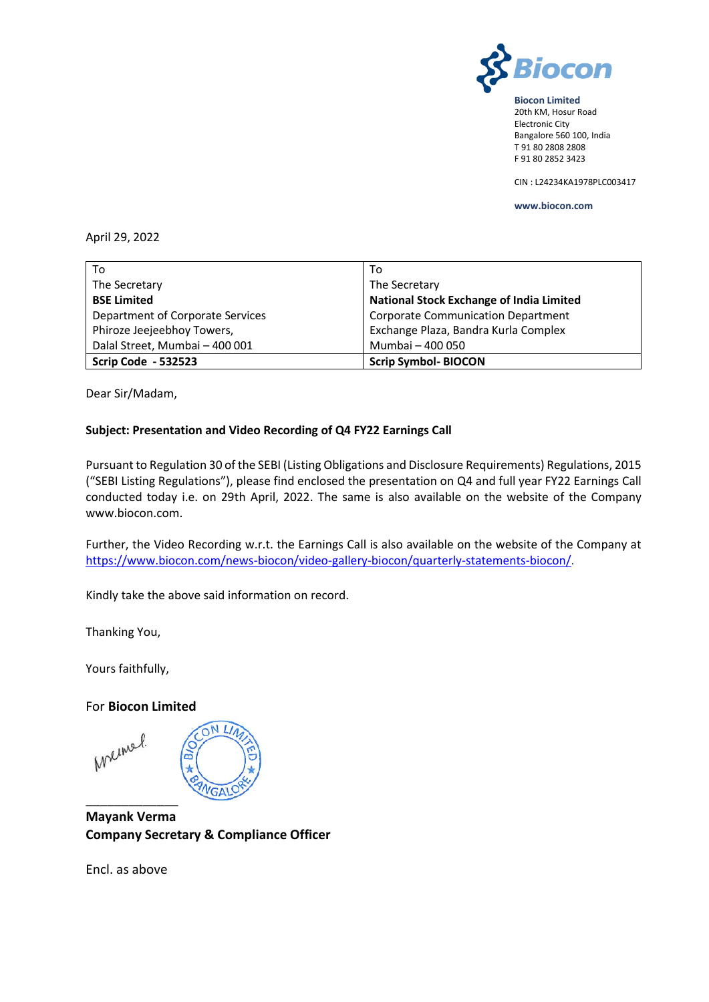

**Biocon Limited** 20th KM, Hosur Road Electronic City Bangalore 560 100, India T 91 80 2808 2808 F 91 80 2852 3423

CIN : L24234KA1978PLC003417

**www.biocon.com** 

#### April 29, 2022

| To                               | To                                              |
|----------------------------------|-------------------------------------------------|
| The Secretary                    | The Secretary                                   |
| <b>BSE Limited</b>               | <b>National Stock Exchange of India Limited</b> |
| Department of Corporate Services | <b>Corporate Communication Department</b>       |
| Phiroze Jeejeebhoy Towers,       | Exchange Plaza, Bandra Kurla Complex            |
| Dalal Street, Mumbai - 400 001   | Mumbai - 400 050                                |
| <b>Scrip Code - 532523</b>       | <b>Scrip Symbol-BIOCON</b>                      |

Dear Sir/Madam,

#### **Subject: Presentation and Video Recording of Q4 FY22 Earnings Call**

Pursuant to Regulation 30 of the SEBI (Listing Obligations and Disclosure Requirements) Regulations, 2015 ("SEBI Listing Regulations"), please find enclosed the presentation on Q4 and full year FY22 Earnings Call conducted today i.e. on 29th April, 2022. The same is also available on the website of the Company www.biocon.com.

Further, the Video Recording w.r.t. the Earnings Call is also available on the website of the Company at [https://www.biocon.com/news-biocon/video-gallery-biocon/quarterly-statements-biocon/.](https://www.biocon.com/news-biocon/video-gallery-biocon/quarterly-statements-biocon/)

Kindly take the above said information on record.

Thanking You,

Yours faithfully,

For **Biocon Limited**

ON LI Melmel. **GA)** \_\_\_\_\_\_\_\_\_\_\_\_\_

**Mayank Verma Company Secretary & Compliance Officer** 

Encl. as above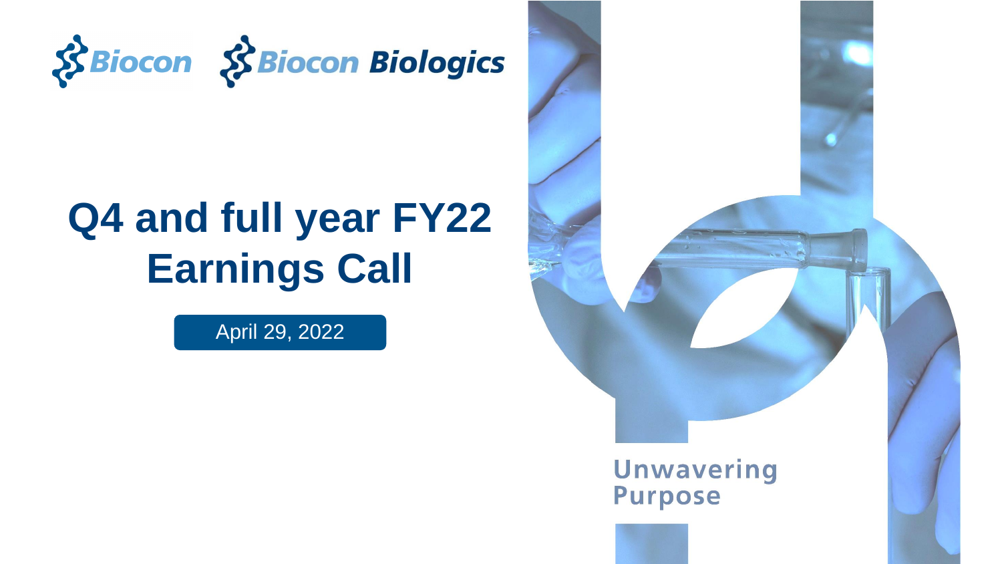

## **Q4 and full year FY22 Earnings Call**

April 29, 2022

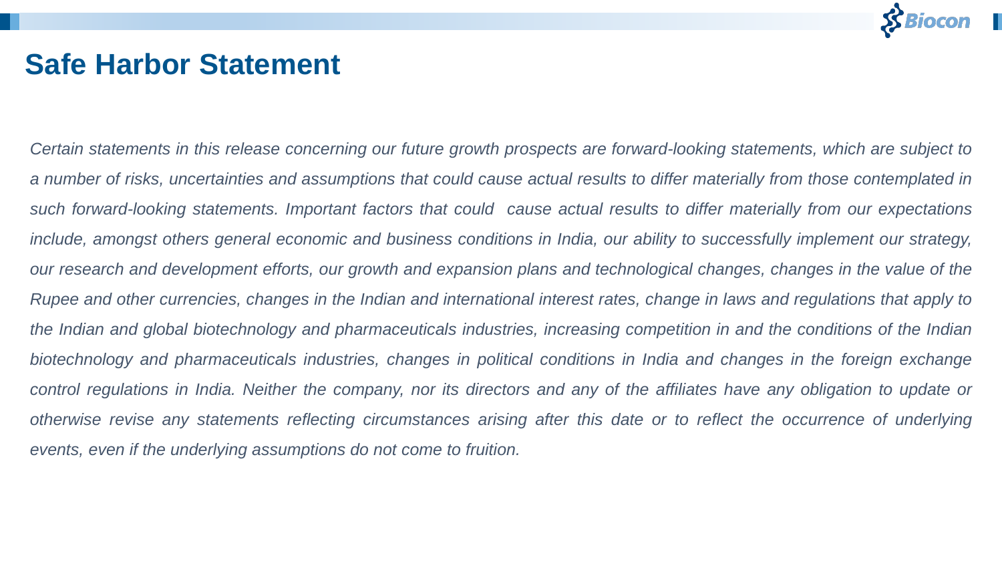

### **Safe Harbor Statement**

Certain statements in this release concerning our future growth prospects are forward-looking statements, which are subject to a number of risks, uncertainties and assumptions that could cause actual results to differ materially from those contemplated in such forward-looking statements. Important factors that could cause actual results to differ materially from our expectations include, amongst others general economic and business conditions in India, our ability to successfully implement our strategy, our research and development efforts, our growth and expansion plans and technological changes, changes in the value of the Rupee and other currencies, changes in the Indian and international interest rates, change in laws and regulations that apply to the Indian and global biotechnology and pharmaceuticals industries, increasing competition in and the conditions of the Indian biotechnology and pharmaceuticals industries, changes in political conditions in India and changes in the foreign exchange control regulations in India. Neither the company, nor its directors and any of the affiliates have any obligation to update or otherwise revise any statements reflecting circumstances arising after this date or to reflect the occurrence of underlying *events, even if the underlying assumptions do not come to fruition.*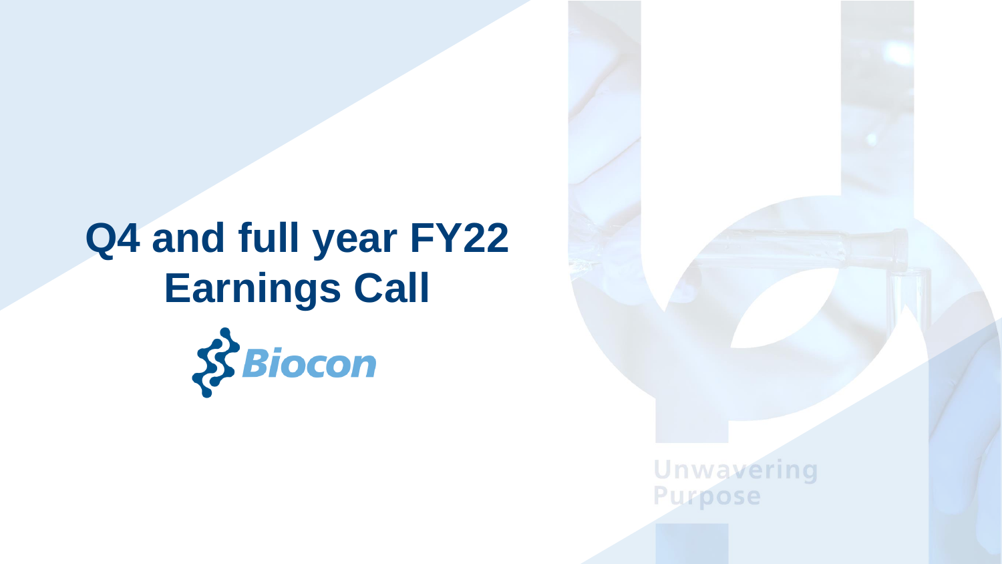# **Q4 and full year FY22 Earnings Call**



**Unwavering Purpose**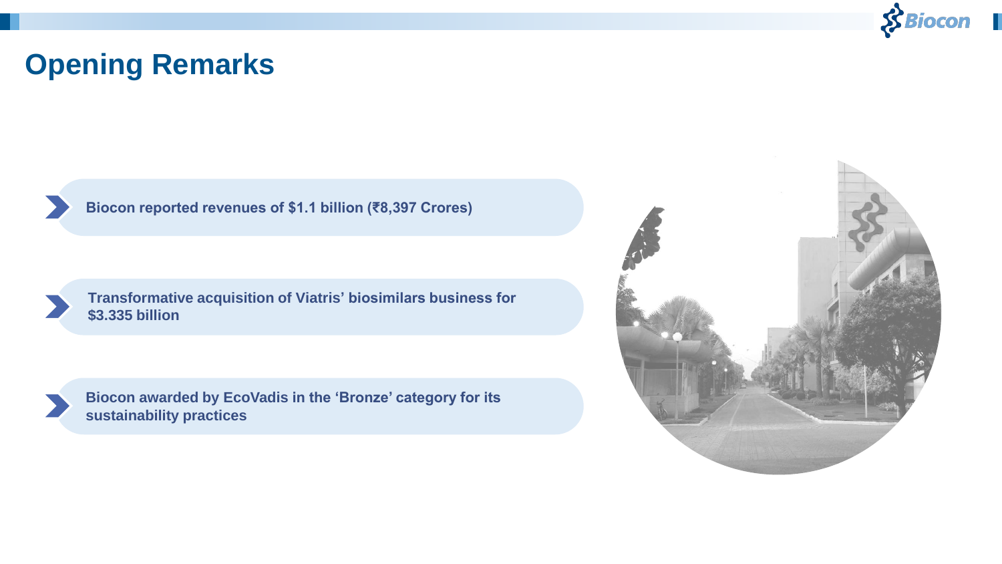

### **Opening Remarks**

**Biocon reported revenues of \$1.1 billion (₹8,397 Crores)**

**Transformative acquisition of Viatris' biosimilars business for \$3.335 billion**



**Biocon awarded by EcoVadis in the 'Bronze' category for its sustainability practices**

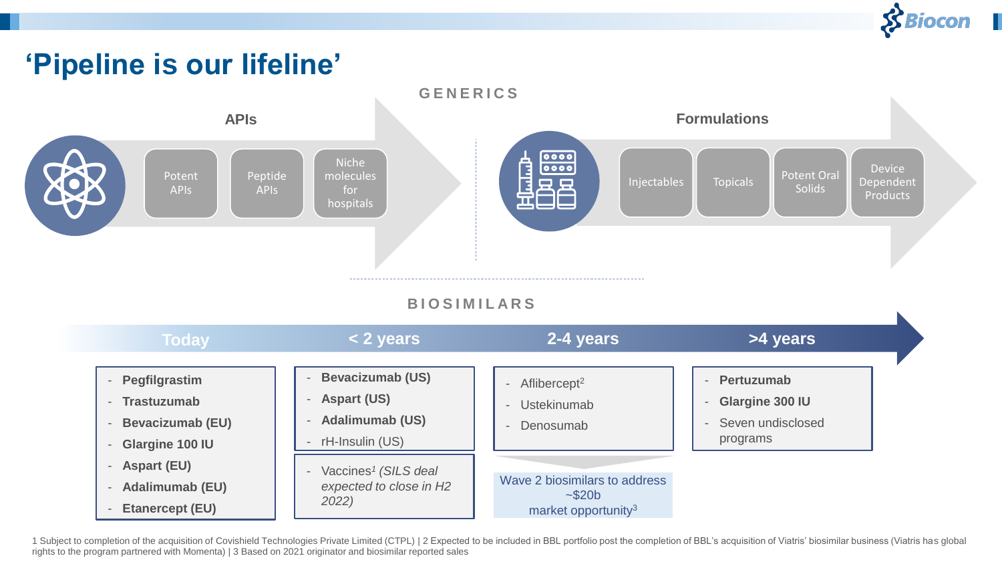

 $\blacktriangleright$ 

### **'Pipeline is our lifeline'**



#### **B I O S I M I L A R S**

| <b>Today</b>                                                                                                                   | < 2 years                                                                                    | 2-4 years                                                                               | >4 years                                                              |  |
|--------------------------------------------------------------------------------------------------------------------------------|----------------------------------------------------------------------------------------------|-----------------------------------------------------------------------------------------|-----------------------------------------------------------------------|--|
| Pegfilgrastim<br><b>Trastuzumab</b><br>$-$<br><b>Bevacizumab (EU)</b><br>Glargine 100 IU<br>$\overline{\phantom{a}}$           | <b>Bevacizumab (US)</b><br><b>Aspart (US)</b><br><b>Adalimumab (US)</b><br>- rH-Insulin (US) | Aflibercept <sup>2</sup><br><b>Ustekinumab</b><br>$\overline{\phantom{a}}$<br>Denosumab | Pertuzumab<br><b>Glargine 300 IU</b><br>Seven undisclosed<br>programs |  |
| <b>Aspart (EU)</b><br>$\overline{\phantom{a}}$<br><b>Adalimumab (EU)</b><br>$\overline{\phantom{0}}$<br><b>Etanercept (EU)</b> | Vaccines <sup>1</sup> (SILS deal<br>expected to close in H2<br>2022)                         | Wave 2 biosimilars to address<br>~520b<br>market opportunity <sup>3</sup>               |                                                                       |  |

1 Subject to completion of the acquisition of Covishield Technologies Private Limited (CTPL) | 2 Expected to be included in BBL portfolio post the completion of BBL's acquisition of Viatris' biosimilar business (Viatris ha rights to the program partnered with Momenta) | 3 Based on 2021 originator and biosimilar reported sales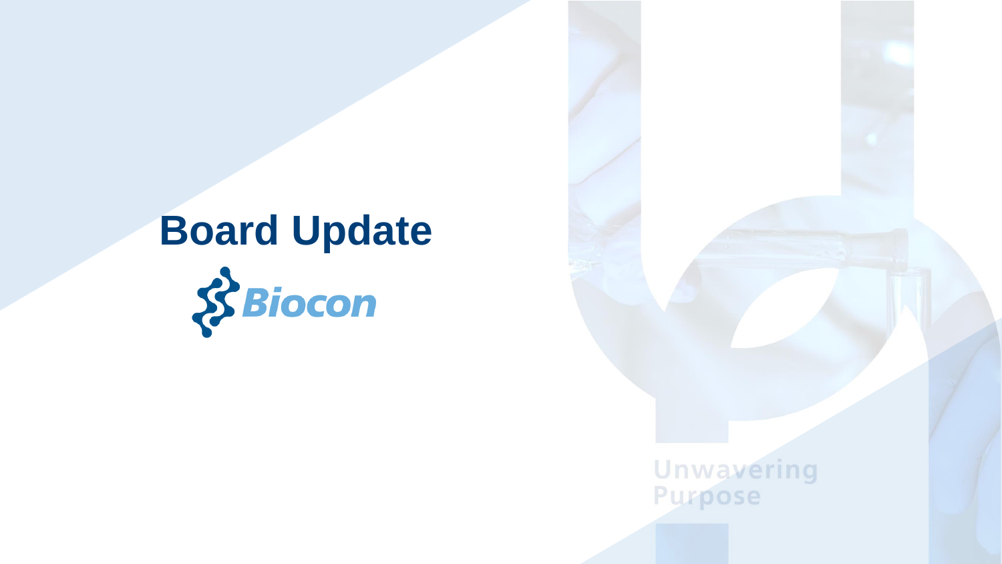# **Board Update**

**Unwavering**<br>Purpose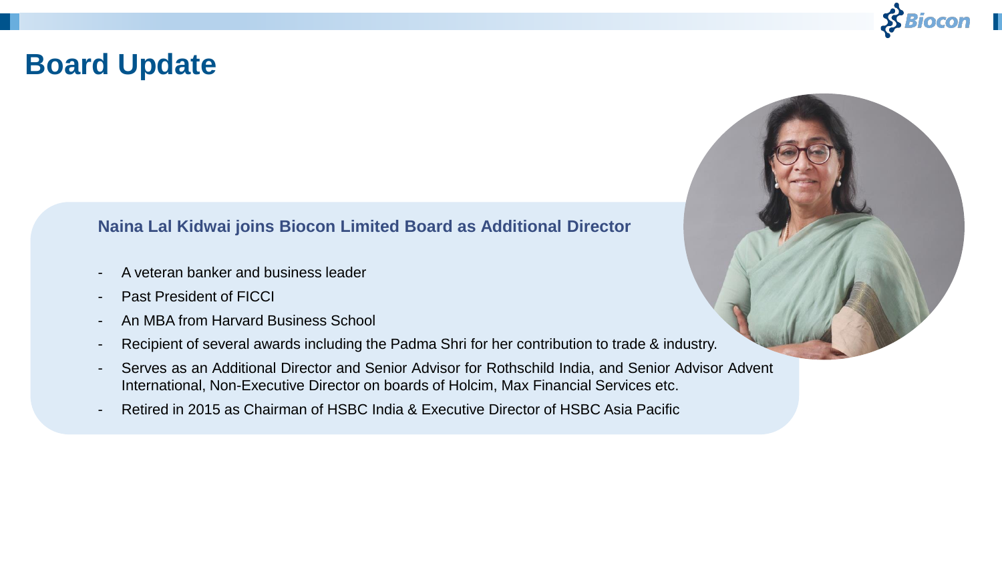

### **Board Update**

#### **Naina Lal Kidwai joins Biocon Limited Board as Additional Director**

- A veteran banker and business leader
- Past President of FICCI
- An MBA from Harvard Business School
- Recipient of several awards including the Padma Shri for her contribution to trade & industry.
- Serves as an Additional Director and Senior Advisor for Rothschild India, and Senior Advisor Advent International, Non-Executive Director on boards of Holcim, Max Financial Services etc.
- Retired in 2015 as Chairman of HSBC India & Executive Director of HSBC Asia Pacific

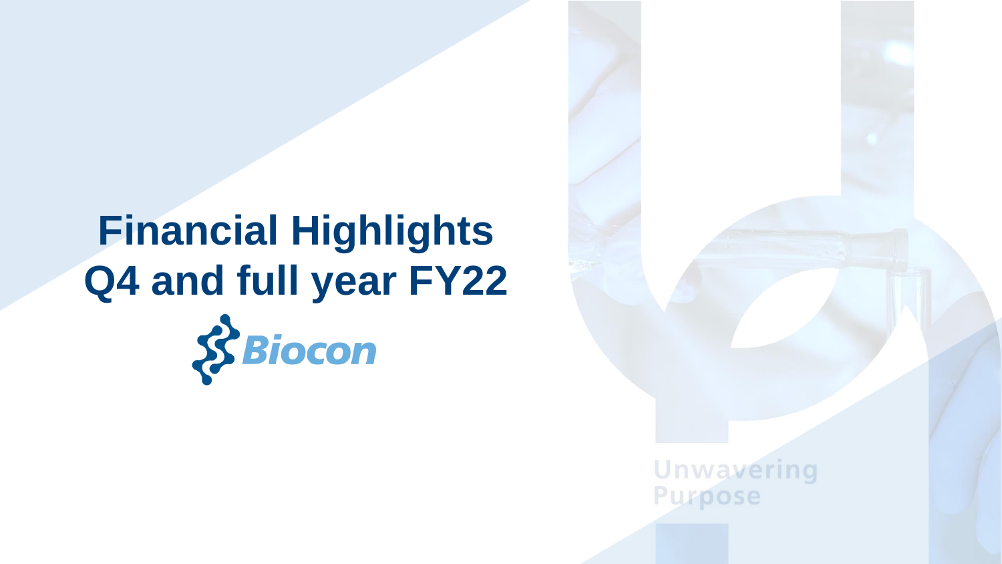# **Financial Highlights Q4 and full year FY22** $8$ Biocon

**Unwavering Purpose**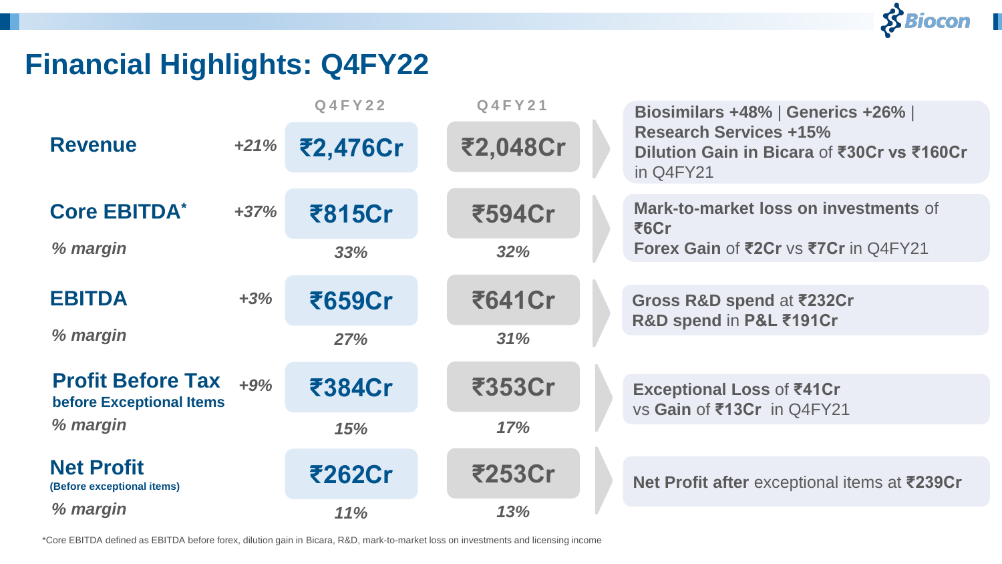### **Financial Highlights: Q4FY22**

|                                                      |        | <b>Q4FY22</b> | <b>Q4FY21</b> | Biosimilars +48%   Generics +26%                                                         |
|------------------------------------------------------|--------|---------------|---------------|------------------------------------------------------------------------------------------|
| <b>Revenue</b>                                       | $+21%$ | ₹2,476Cr      | ₹2,048Cr      | <b>Research Services +15%</b><br>Dilution Gain in Bicara of ₹30Cr vs ₹160Cr<br>in Q4FY21 |
| <b>Core EBITDA*</b>                                  | $+37%$ | ₹815Cr        | ₹594Cr        | Mark-to-market loss on investments of<br>₹6Cr                                            |
| % margin                                             |        | 33%           | 32%           | Forex Gain of ₹2Cr vs ₹7Cr in Q4FY21                                                     |
|                                                      |        |               |               |                                                                                          |
| <b>EBITDA</b>                                        | $+3%$  | ₹659Cr        | ₹641Cr        | Gross R&D spend at ₹232Cr<br>R&D spend in P&L ₹191Cr                                     |
| % margin                                             |        | 27%           | 31%           |                                                                                          |
|                                                      |        |               |               |                                                                                          |
| <b>Profit Before Tax</b><br>before Exceptional Items | $+9%$  | ₹384Cr        | ₹353Cr        | <b>Exceptional Loss of ₹41Cr</b><br>vs Gain of ₹13Cr in Q4FY21                           |
| % margin                                             |        | 15%           | 17%           |                                                                                          |
|                                                      |        |               |               |                                                                                          |
| <b>Net Profit</b><br>(Before exceptional items)      |        | ₹262Cr        | ₹253Cr        | Net Profit after exceptional items at ₹239Cr                                             |
| % margin                                             |        | 11%           | 13%           |                                                                                          |

 $$Biocon$ 

\*Core EBITDA defined as EBITDA before forex, dilution gain in Bicara, R&D, mark-to-market loss on investments and licensing income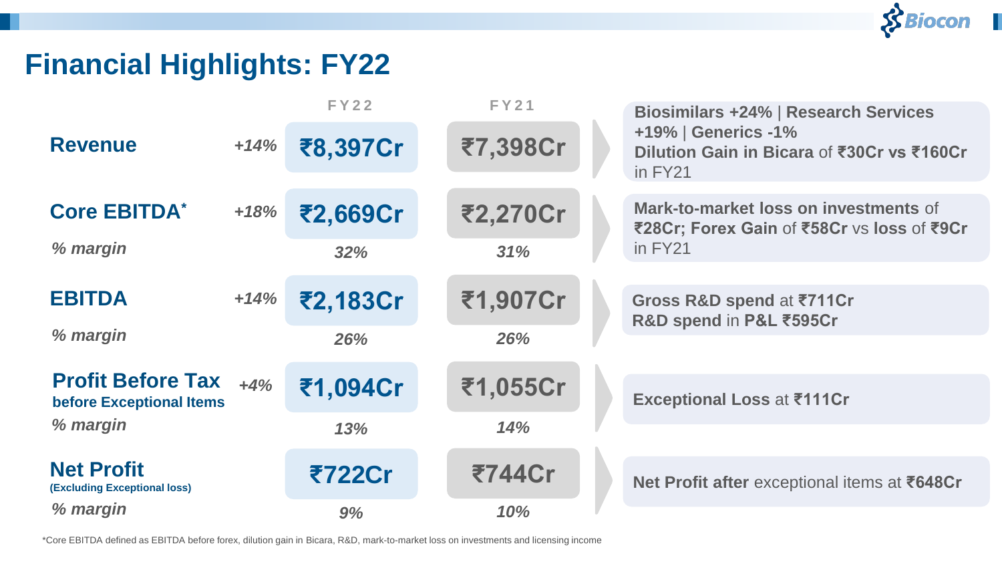### $$Biocon$

### **Financial Highlights: FY22**

|                                                          |        | <b>FY22</b> | <b>FY21</b> | <b>Biosimilars +24%   Research Services</b>                                         |
|----------------------------------------------------------|--------|-------------|-------------|-------------------------------------------------------------------------------------|
| <b>Revenue</b>                                           | $+14%$ | ₹8,397Cr    | ₹7,398Cr    | +19%   Generics -1%<br>Dilution Gain in Bicara of ₹30Cr vs ₹160Cr<br>in FY21        |
| <b>Core EBITDA*</b>                                      | $+18%$ | ₹2,669Cr    | ₹2,270Cr    | Mark-to-market loss on investments of<br>₹28Cr; Forex Gain of ₹58Cr vs loss of ₹9Cr |
| % margin                                                 |        | 32%         | 31%         | in FY21                                                                             |
|                                                          |        |             |             |                                                                                     |
| <b>EBITDA</b>                                            | $+14%$ | ₹2,183Cr    | ₹1,907Cr    | Gross R&D spend at ₹711Cr                                                           |
| % margin                                                 |        | 26%         | 26%         | R&D spend in P&L ₹595Cr                                                             |
|                                                          |        |             |             |                                                                                     |
| <b>Profit Before Tax</b><br>before Exceptional Items     | $+4%$  | ₹1,094Cr    | ₹1,055Cr    | <b>Exceptional Loss at ₹111Cr</b>                                                   |
| % margin                                                 |        | 13%         | 14%         |                                                                                     |
|                                                          |        |             |             |                                                                                     |
| <b>Net Profit</b><br><b>(Excluding Exceptional loss)</b> |        | ₹722Cr      | ₹744Cr      | Net Profit after exceptional items at ₹648Cr                                        |
| % margin                                                 |        | 9%          | 10%         |                                                                                     |

\*Core EBITDA defined as EBITDA before forex, dilution gain in Bicara, R&D, mark-to-market loss on investments and licensing income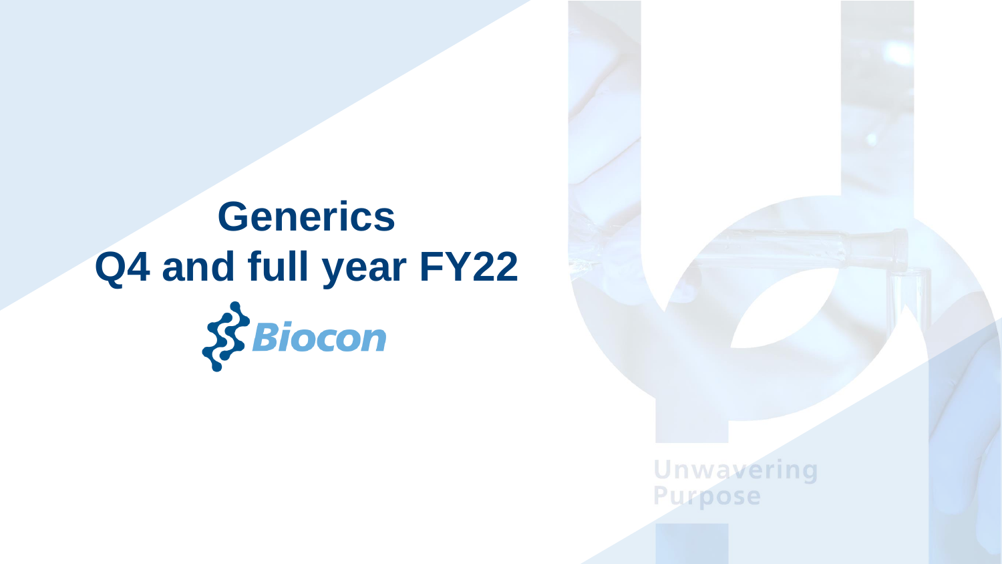# **Generics Q4 and full year FY22** $8$ Biocon

**Unwavering Purpose**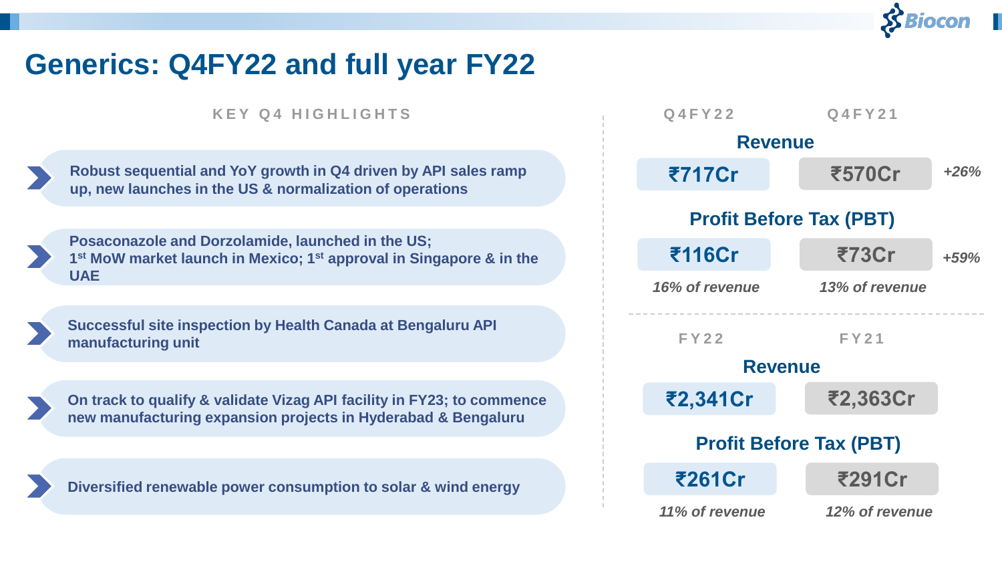### **Generics: Q4FY22 and full year FY22**

**K E Y Q 4 H I G H L I G H T S**

**Robust sequential and YoY growth in Q4 driven by API sales ramp up, new launches in the US & normalization of operations**

**Posaconazole and Dorzolamide, launched in the US; 1 st MoW market launch in Mexico; 1st approval in Singapore & in the UAE**



**Successful site inspection by Health Canada at Bengaluru API manufacturing unit**



**On track to qualify & validate Vizag API facility in FY23; to commence new manufacturing expansion projects in Hyderabad & Bengaluru**

**Diversified renewable power consumption to solar & wind energy**

| <b>Q4FY22</b>  | Q4FY21                         |        |
|----------------|--------------------------------|--------|
|                | <b>Revenue</b>                 |        |
| ₹717Cr         | ₹570Cr                         | $+26%$ |
|                | <b>Profit Before Tax (PBT)</b> |        |
| ₹116Cr         | ₹73Cr                          | $+59%$ |
| 16% of revenue | 13% of revenue                 |        |
|                |                                |        |
|                |                                |        |
| <b>FY22</b>    | <b>FY21</b>                    |        |
|                | <b>Revenue</b>                 |        |
| ₹2,341Cr       | ₹2,363Cr                       |        |
|                | <b>Profit Before Tax (PBT)</b> |        |
| ₹261Cr         | ₹291Cr                         |        |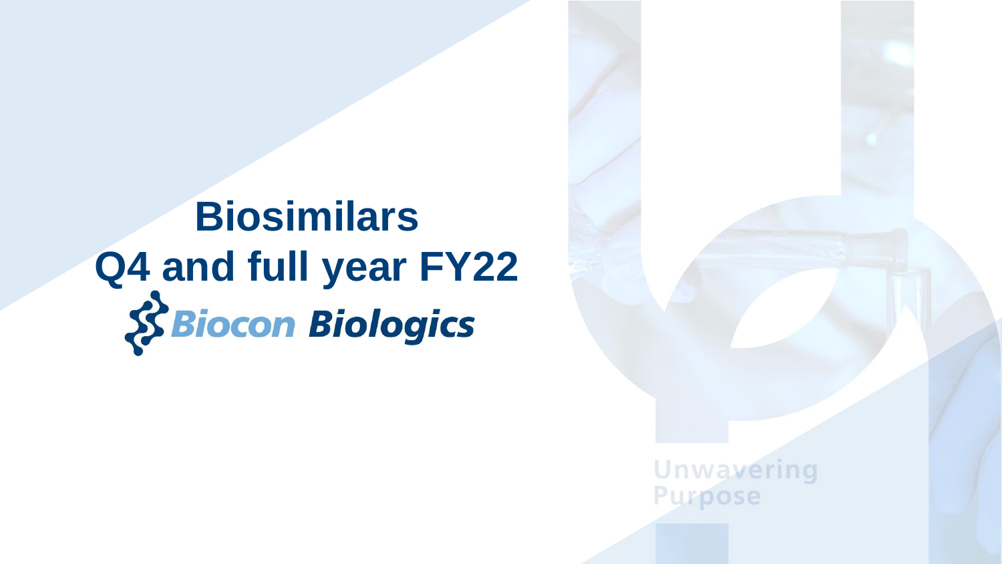# **Biosimilars** Q4 and full year FY22<br>
S Biocon Biologics

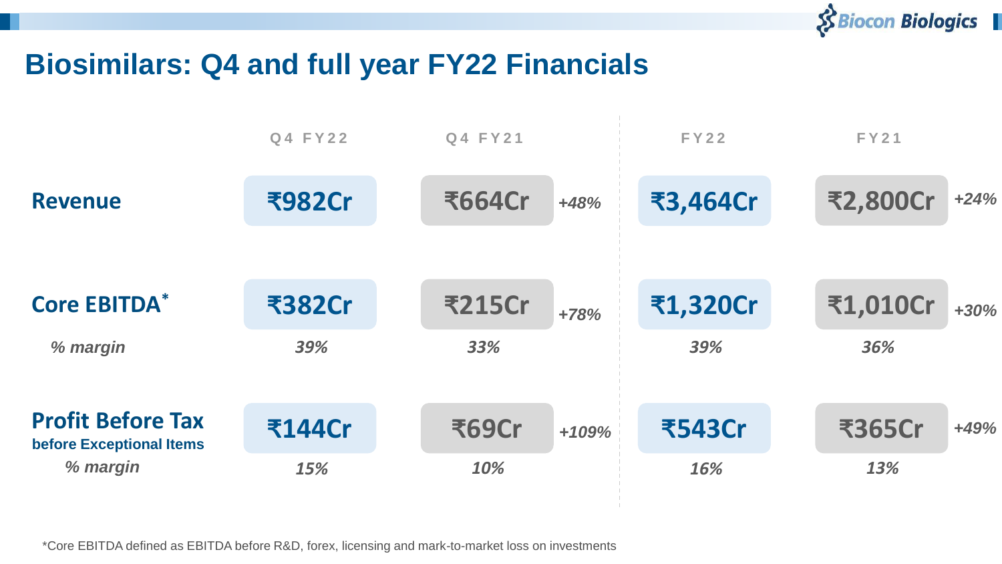

### **Biosimilars: Q4 and full year FY22 Financials**

| Q4 FY22       | Q4 FY21       |         | FY22          | <b>FY21</b>     |        |
|---------------|---------------|---------|---------------|-----------------|--------|
| <b>₹982Cr</b> | <b>₹664Cr</b> | $+48%$  | ₹3,464Cr      | <b>₹2,800Cr</b> | $+24%$ |
|               |               |         |               |                 |        |
| <b>₹382Cr</b> | <b>₹215Cr</b> | $+78%$  | ₹1,320Cr      | ₹1,010Cr        | $+30%$ |
| 39%           | 33%           |         | 39%           | 36%             |        |
|               |               |         |               |                 |        |
| <b>₹144Cr</b> | ₹69Cr         | $+109%$ | <b>₹543Cr</b> | ₹365Cr          | $+49%$ |
| 15%           | 10%           |         | 16%           | 13%             |        |
|               |               |         |               |                 |        |

\*Core EBITDA defined as EBITDA before R&D, forex, licensing and mark-to-market loss on investments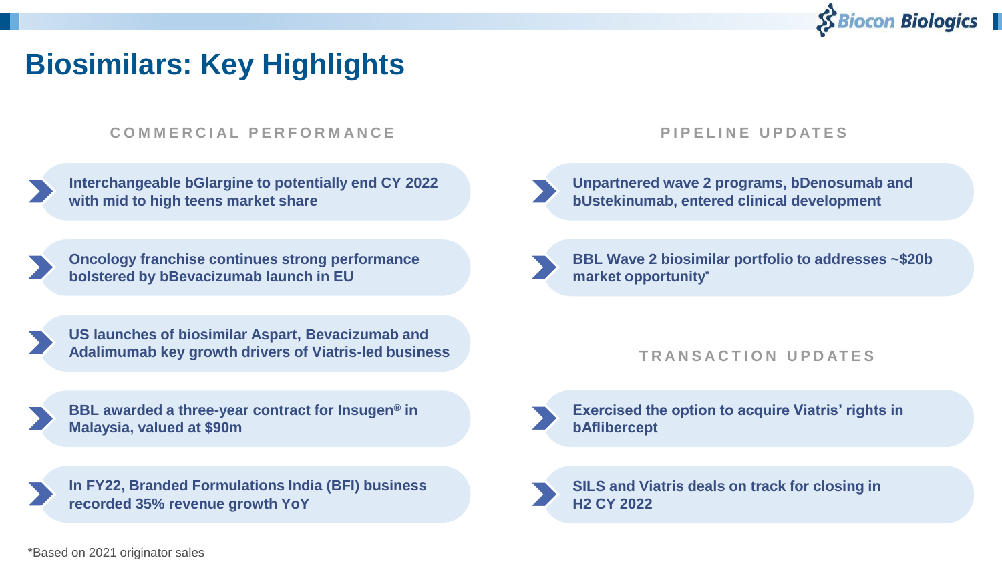

### **Biosimilars: Key Highlights**

#### **C O M M E R C I A L P E R F O R M A N C E**

| Interchangeable bGlargine to potentially end CY 2022 |  |
|------------------------------------------------------|--|
| with mid to high teens market share                  |  |

**Oncology franchise continues strong performance bolstered by bBevacizumab launch in EU**

**US launches of biosimilar Aspart, Bevacizumab and Adalimumab key growth drivers of Viatris-led business**



**In FY22, Branded Formulations India (BFI) business recorded 35% revenue growth YoY**

#### **P I P E L I N E U P D AT E S**



**Unpartnered wave 2 programs, bDenosumab and bUstekinumab, entered clinical development**

**BBL Wave 2 biosimilar portfolio to addresses ~\$20b market opportunity\***

#### **T R A N S A C T I O N U P D AT E S**



**Exercised the option to acquire Viatris' rights in bAflibercept**



**SILS and Viatris deals on track for closing in H2 CY 2022**

\*Based on 2021 originator sales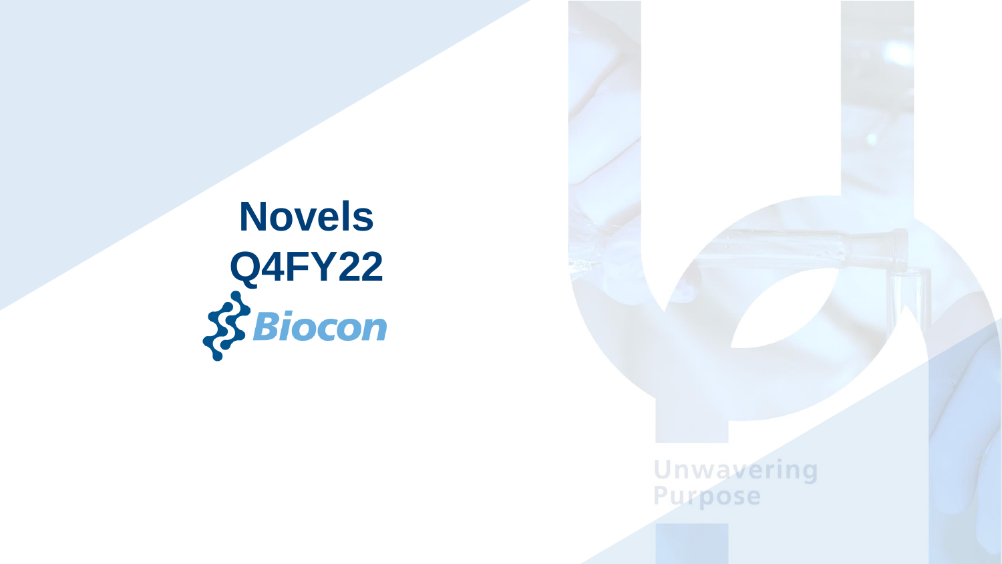**Novels Q4FY22**<br>Siocon

**Unwavering**<br>Purpose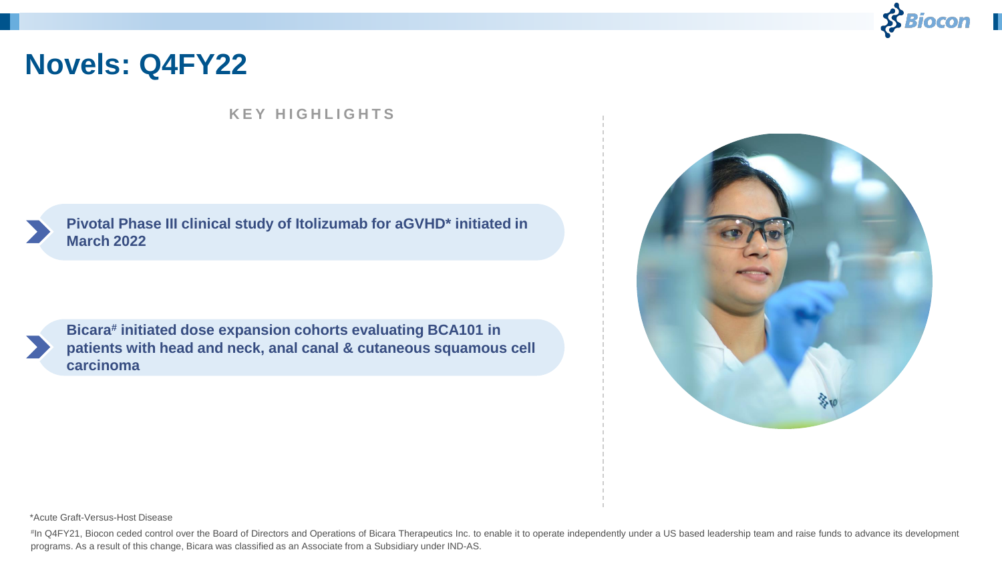

### **Novels: Q4FY22**

#### **K E Y H I G H L I G H T S**

**Pivotal Phase III clinical study of Itolizumab for aGVHD\* initiated in March 2022**

**Bicara# initiated dose expansion cohorts evaluating BCA101 in patients with head and neck, anal canal & cutaneous squamous cell carcinoma**



\*Acute Graft-Versus-Host Disease

# In Q4FY21, Biocon ceded control over the Board of Directors and Operations of Bicara Therapeutics Inc. to enable it to operate independently under a US based leadership team and raise funds to advance its development programs. As a result of this change, Bicara was classified as an Associate from a Subsidiary under IND-AS.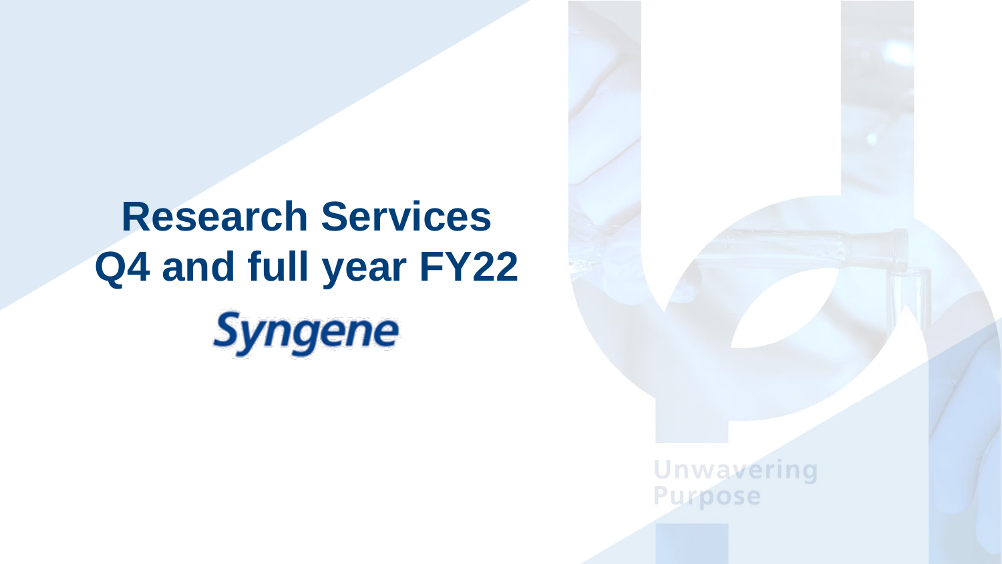# **Research Services Q4 and full year FY22Syngene**

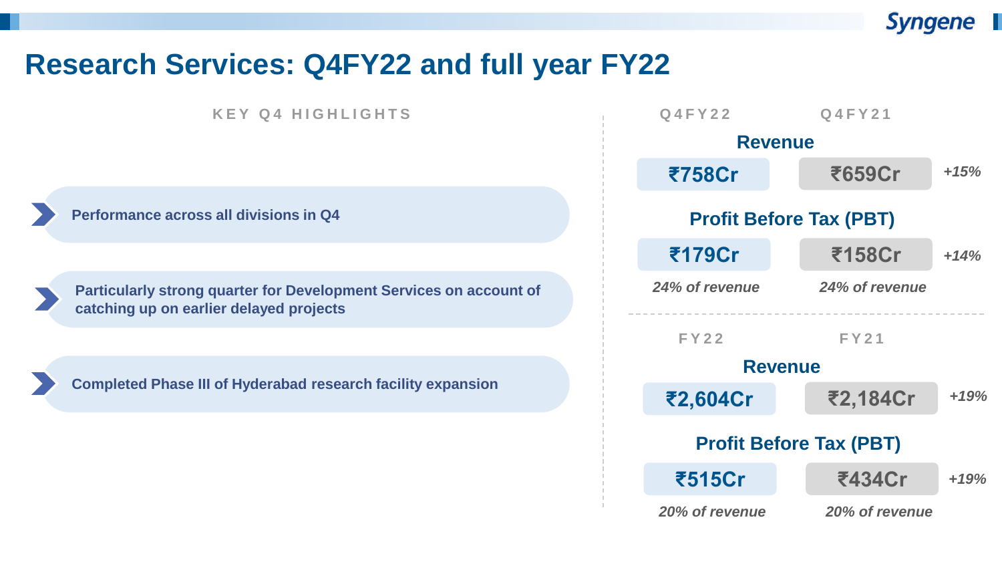

### **Research Services: Q4FY22 and full year FY22**

**K E Y Q 4 H I G H L I G H T S**

**Performance across all divisions in Q4**

**Particularly strong quarter for Development Services on account of catching up on earlier delayed projects**

**Completed Phase III of Hyderabad research facility expansion** 

| <b>Q4FY22</b>  | Q4FY21                         |        |
|----------------|--------------------------------|--------|
| <b>Revenue</b> |                                |        |
| ₹758Cr         | ₹659Cr                         | $+15%$ |
|                | <b>Profit Before Tax (PBT)</b> |        |
| ₹179Cr         | ₹158Cr                         | $+14%$ |
| 24% of revenue | 24% of revenue                 |        |
| <b>FY22</b>    | <b>FY21</b>                    |        |
| <b>Revenue</b> |                                |        |
| ₹2,604Cr       | ₹2,184Cr                       | $+19%$ |
|                | <b>Profit Before Tax (PBT)</b> |        |
|                |                                |        |
| ₹515Cr         | ₹434Cr                         | $+19%$ |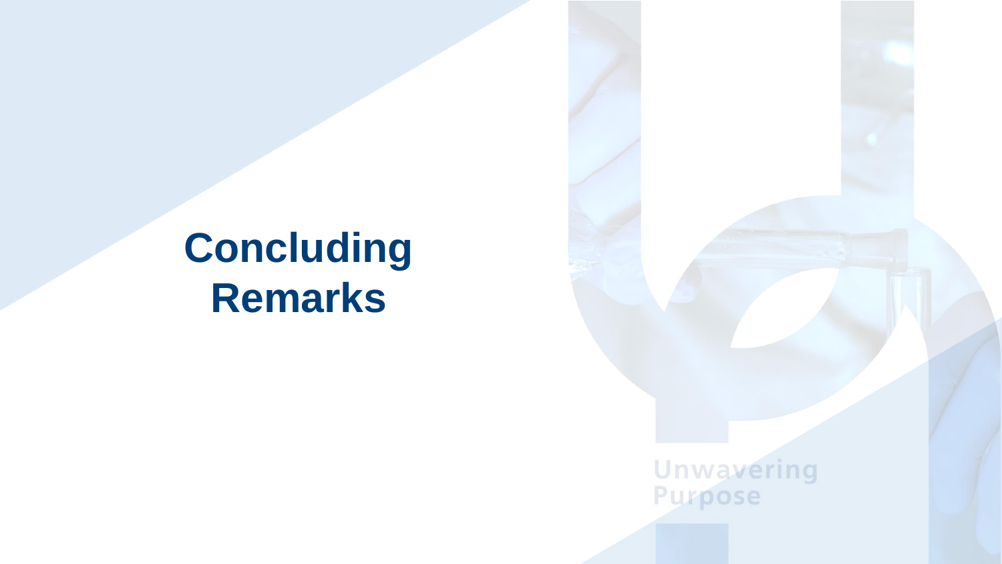# **Concluding Remarks**

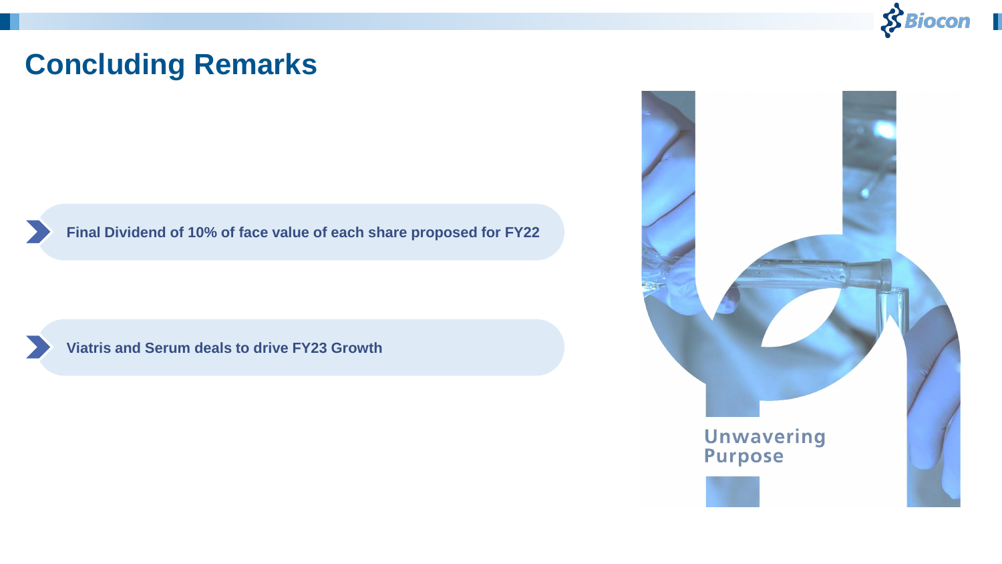

### **Concluding Remarks**

**Final Dividend of 10% of face value of each share proposed for FY22** 

**Viatris and Serum deals to drive FY23 Growth**